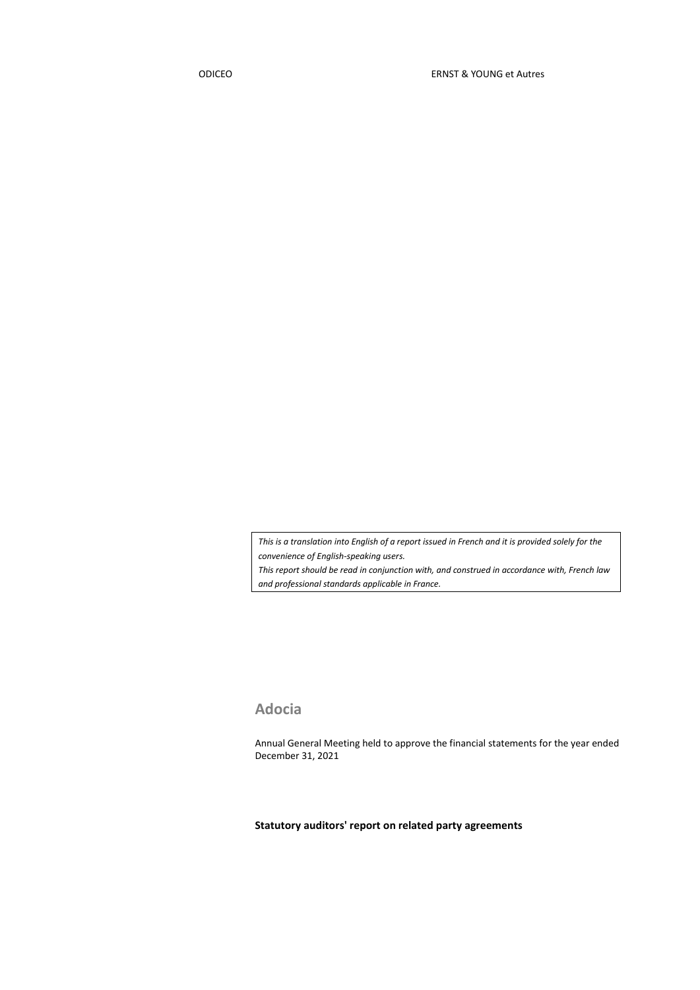*This is a translation into English of a report issued in French and it is provided solely for the convenience of English-speaking users.*

*This report should be read in conjunction with, and construed in accordance with, French law and professional standards applicable in France.*

# **Adocia**

Annual General Meeting held to approve the financial statements for the year ended December 31, 2021

**Statutory auditors' report on related party agreements**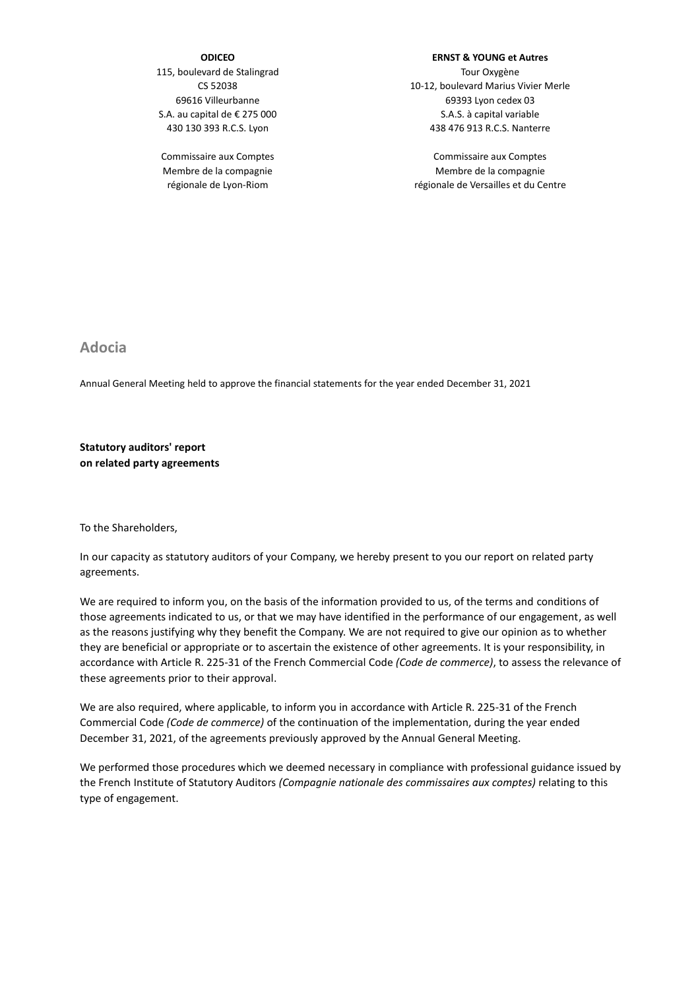### **ODICEO**

115, boulevard de Stalingrad CS 52038 69616 Villeurbanne S.A. au capital de € 275 000 430 130 393 R.C.S. Lyon

Commissaire aux Comptes Membre de la compagnie régionale de Lyon-Riom

#### **ERNST & YOUNG et Autres**

Tour Oxygène 10-12, boulevard Marius Vivier Merle 69393 Lyon cedex 03 S.A.S. à capital variable 438 476 913 R.C.S. Nanterre

Commissaire aux Comptes Membre de la compagnie régionale de Versailles et du Centre

**Adocia**

Annual General Meeting held to approve the financial statements for the year ended December 31, 2021

**Statutory auditors' report on related party agreements**

To the Shareholders,

In our capacity as statutory auditors of your Company, we hereby present to you our report on related party agreements.

We are required to inform you, on the basis of the information provided to us, of the terms and conditions of those agreements indicated to us, or that we may have identified in the performance of our engagement, as well as the reasons justifying why they benefit the Company. We are not required to give our opinion as to whether they are beneficial or appropriate or to ascertain the existence of other agreements. It is your responsibility, in accordance with Article R. 225-31 of the French Commercial Code *(Code de commerce)*, to assess the relevance of these agreements prior to their approval.

We are also required, where applicable, to inform you in accordance with Article R. 225-31 of the French Commercial Code *(Code de commerce)* of the continuation of the implementation, during the year ended December 31, 2021, of the agreements previously approved by the Annual General Meeting.

We performed those procedures which we deemed necessary in compliance with professional guidance issued by the French Institute of Statutory Auditors *(Compagnie nationale des commissaires aux comptes)* relating to this type of engagement.